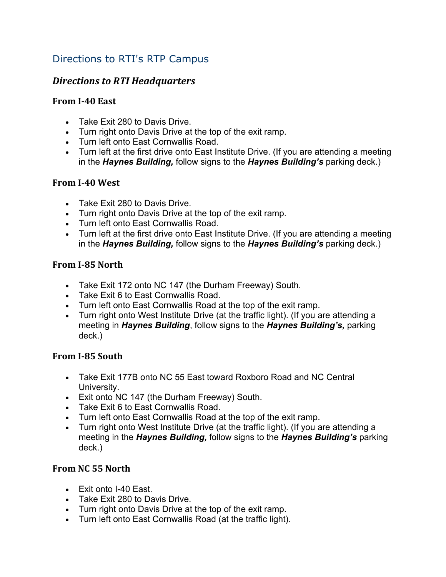# Directions to RTI's RTP Campus

# *Directions to RTI Headquarters*

#### **From I‐40 East**

- Take Exit 280 to Davis Drive.
- Turn right onto Davis Drive at the top of the exit ramp.
- Turn left onto East Cornwallis Road.
- Turn left at the first drive onto East Institute Drive. (If you are attending a meeting in the *Haynes Building,* follow signs to the *Haynes Building's* parking deck.)

#### **From I‐40 West**

- Take Exit 280 to Davis Drive.
- Turn right onto Davis Drive at the top of the exit ramp.
- Turn left onto East Cornwallis Road.
- Turn left at the first drive onto East Institute Drive. (If you are attending a meeting in the *Haynes Building,* follow signs to the *Haynes Building's* parking deck.)

#### **From I‐85 North**

- Take Exit 172 onto NC 147 (the Durham Freeway) South.
- Take Exit 6 to East Cornwallis Road.
- Turn left onto East Cornwallis Road at the top of the exit ramp.
- Turn right onto West Institute Drive (at the traffic light). (If you are attending a meeting in *Haynes Building*, follow signs to the *Haynes Building's,* parking deck.)

## **From I‐85 South**

- Take Exit 177B onto NC 55 East toward Roxboro Road and NC Central University.
- Exit onto NC 147 (the Durham Freeway) South.
- Take Exit 6 to East Cornwallis Road.
- Turn left onto East Cornwallis Road at the top of the exit ramp.
- Turn right onto West Institute Drive (at the traffic light). (If you are attending a meeting in the *Haynes Building,* follow signs to the *Haynes Building's* parking deck.)

## **From NC 55 North**

- $\bullet$  Fxit onto I-40 Fast.
- Take Exit 280 to Davis Drive.
- Turn right onto Davis Drive at the top of the exit ramp.
- Turn left onto East Cornwallis Road (at the traffic light).